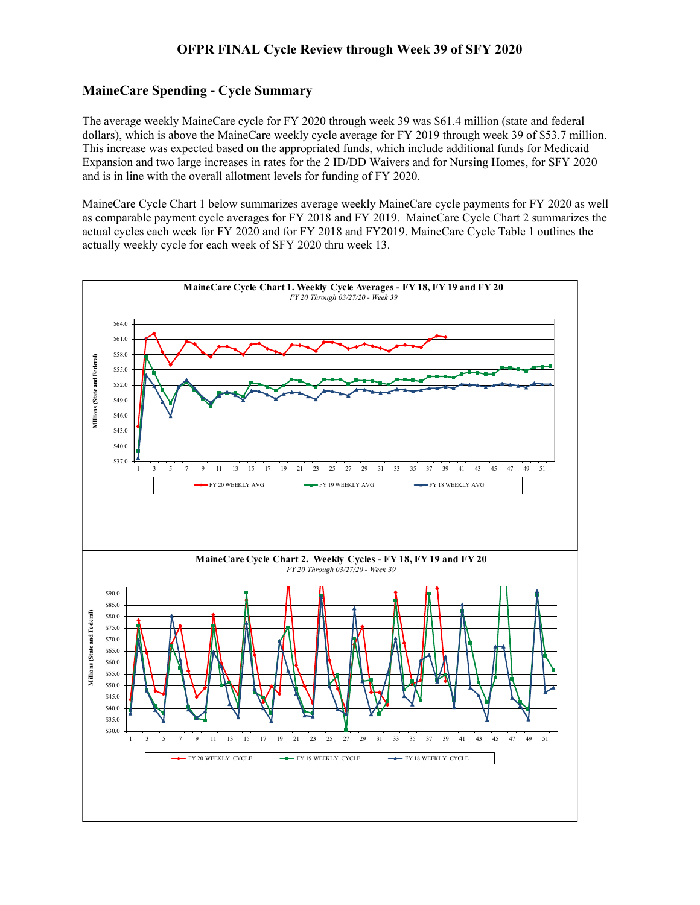## **OFPR FINAL Cycle Review through Week 39 of SFY 2020**

## **MaineCare Spending - Cycle Summary**

The average weekly MaineCare cycle for FY 2020 through week 39 was \$61.4 million (state and federal dollars), which is above the MaineCare weekly cycle average for FY 2019 through week 39 of \$53.7 million. This increase was expected based on the appropriated funds, which include additional funds for Medicaid Expansion and two large increases in rates for the 2 ID/DD Waivers and for Nursing Homes, for SFY 2020 and is in line with the overall allotment levels for funding of FY 2020.

MaineCare Cycle Chart 1 below summarizes average weekly MaineCare cycle payments for FY 2020 as well as comparable payment cycle averages for FY 2018 and FY 2019. MaineCare Cycle Chart 2 summarizes the actual cycles each week for FY 2020 and for FY 2018 and FY2019. MaineCare Cycle Table 1 outlines the actually weekly cycle for each week of SFY 2020 thru week 13.